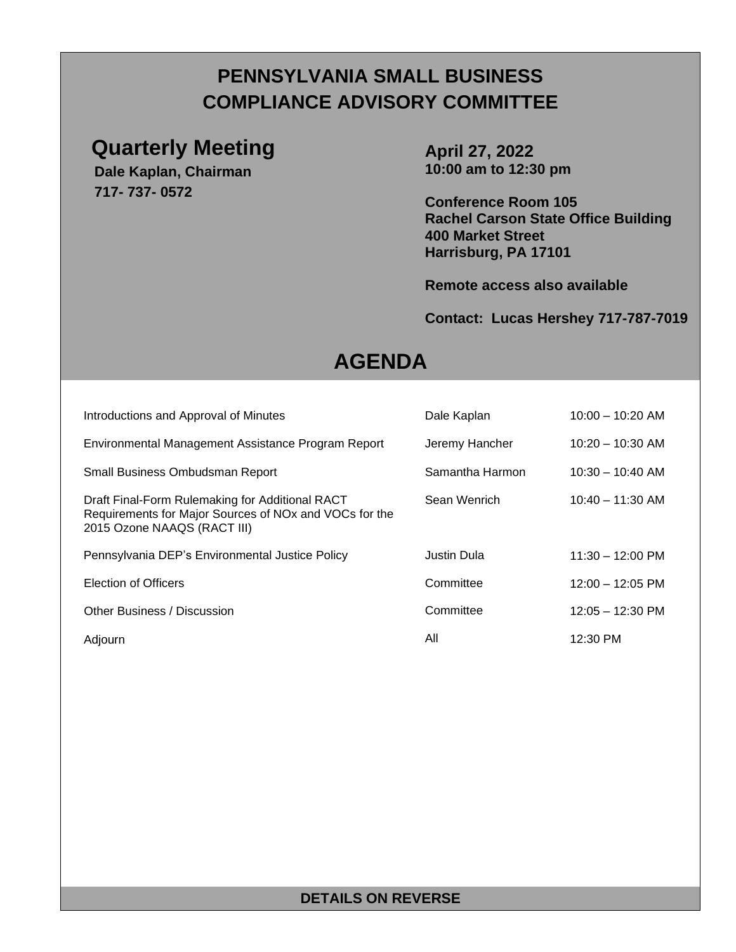## **PENNSYLVANIA SMALL BUSINESS COMPLIANCE ADVISORY COMMITTEE**

### **Quarterly Meeting**

**Dale Kaplan, Chairman 717- 737- 0572**

**April 27, 2022 10:00 am to 12:30 pm**

**Conference Room 105 Rachel Carson State Office Building 400 Market Street Harrisburg, PA 17101**

**Remote access also available**

#### **Contact: Lucas Hershey 717-787-7019**

# **AGENDA**

|                             | Introductions and Approval of Minutes                                                                                             | Dale Kaplan     | $10:00 - 10:20$ AM         |
|-----------------------------|-----------------------------------------------------------------------------------------------------------------------------------|-----------------|----------------------------|
|                             | Environmental Management Assistance Program Report                                                                                | Jeremy Hancher  | $10:20 - 10:30$ AM         |
|                             | Small Business Ombudsman Report                                                                                                   | Samantha Harmon | $10:30 - 10:40$ AM         |
| 2015 Ozone NAAQS (RACT III) | Draft Final-Form Rulemaking for Additional RACT<br>Requirements for Major Sources of NO <sub>x</sub> and VOC <sub>s</sub> for the | Sean Wenrich    | $10:40 - 11:30$ AM         |
|                             | Pennsylvania DEP's Environmental Justice Policy                                                                                   | Justin Dula     | $11:30 - 12:00 \text{ PM}$ |
| Election of Officers        |                                                                                                                                   | Committee       | $12:00 - 12:05 \text{ PM}$ |
| Other Business / Discussion |                                                                                                                                   | Committee       | $12:05 - 12:30 \text{ PM}$ |
| Adjourn                     |                                                                                                                                   | All             | 12:30 PM                   |

#### **DETAILS ON REVERSE**